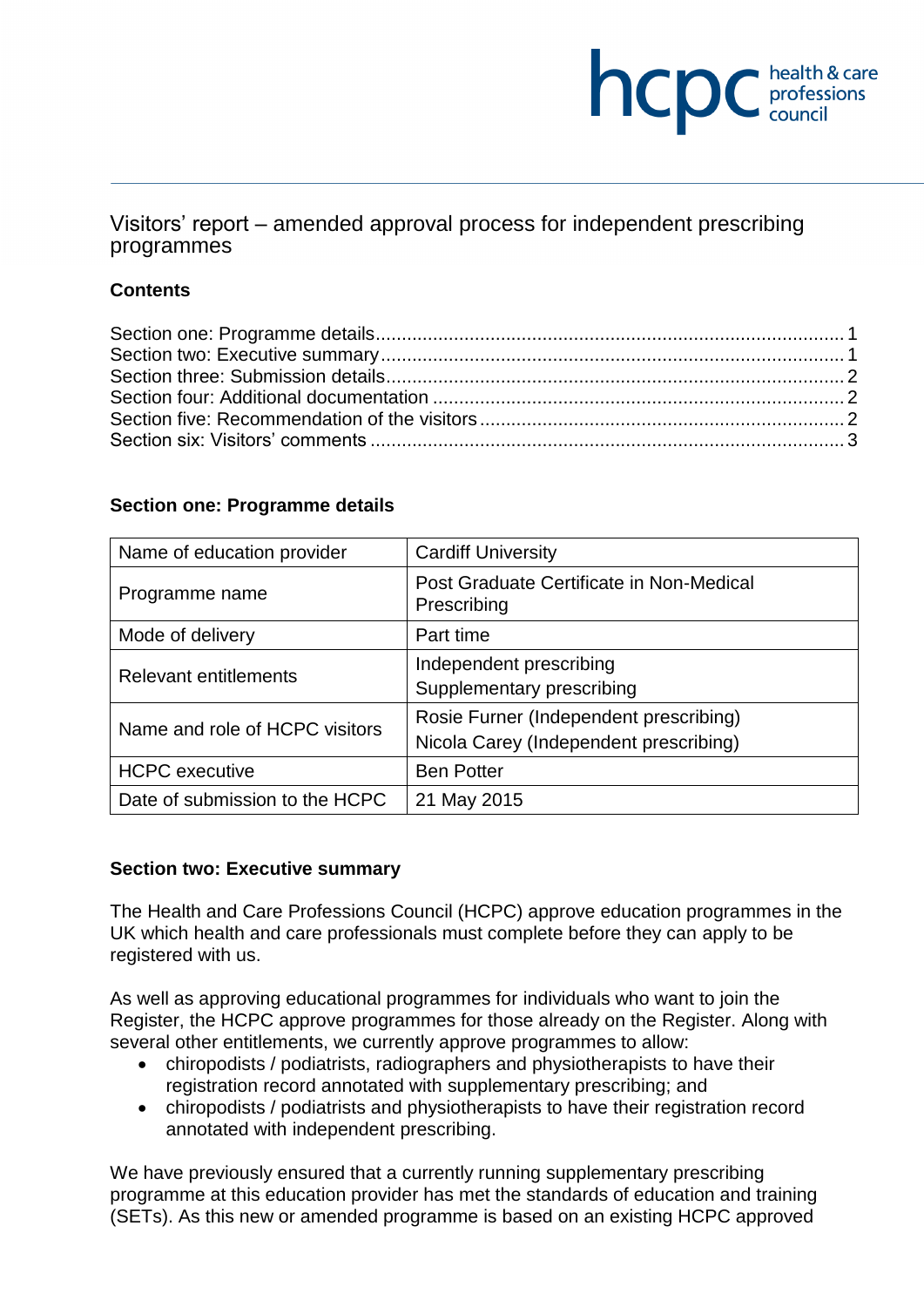# **NCDC** health & care

Visitors' report – amended approval process for independent prescribing programmes

### **Contents**

### **Section one: Programme details**

| Name of education provider     | <b>Cardiff University</b>                                                        |
|--------------------------------|----------------------------------------------------------------------------------|
| Programme name                 | Post Graduate Certificate in Non-Medical<br>Prescribing                          |
| Mode of delivery               | Part time                                                                        |
| <b>Relevant entitlements</b>   | Independent prescribing<br>Supplementary prescribing                             |
| Name and role of HCPC visitors | Rosie Furner (Independent prescribing)<br>Nicola Carey (Independent prescribing) |
| <b>HCPC</b> executive          | <b>Ben Potter</b>                                                                |
| Date of submission to the HCPC | 21 May 2015                                                                      |

# **Section two: Executive summary**

The Health and Care Professions Council (HCPC) approve education programmes in the UK which health and care professionals must complete before they can apply to be registered with us.

As well as approving educational programmes for individuals who want to join the Register, the HCPC approve programmes for those already on the Register. Along with several other entitlements, we currently approve programmes to allow:

- chiropodists / podiatrists, radiographers and physiotherapists to have their registration record annotated with supplementary prescribing; and
- chiropodists / podiatrists and physiotherapists to have their registration record annotated with independent prescribing.

We have previously ensured that a currently running supplementary prescribing programme at this education provider has met the standards of education and training (SETs). As this new or amended programme is based on an existing HCPC approved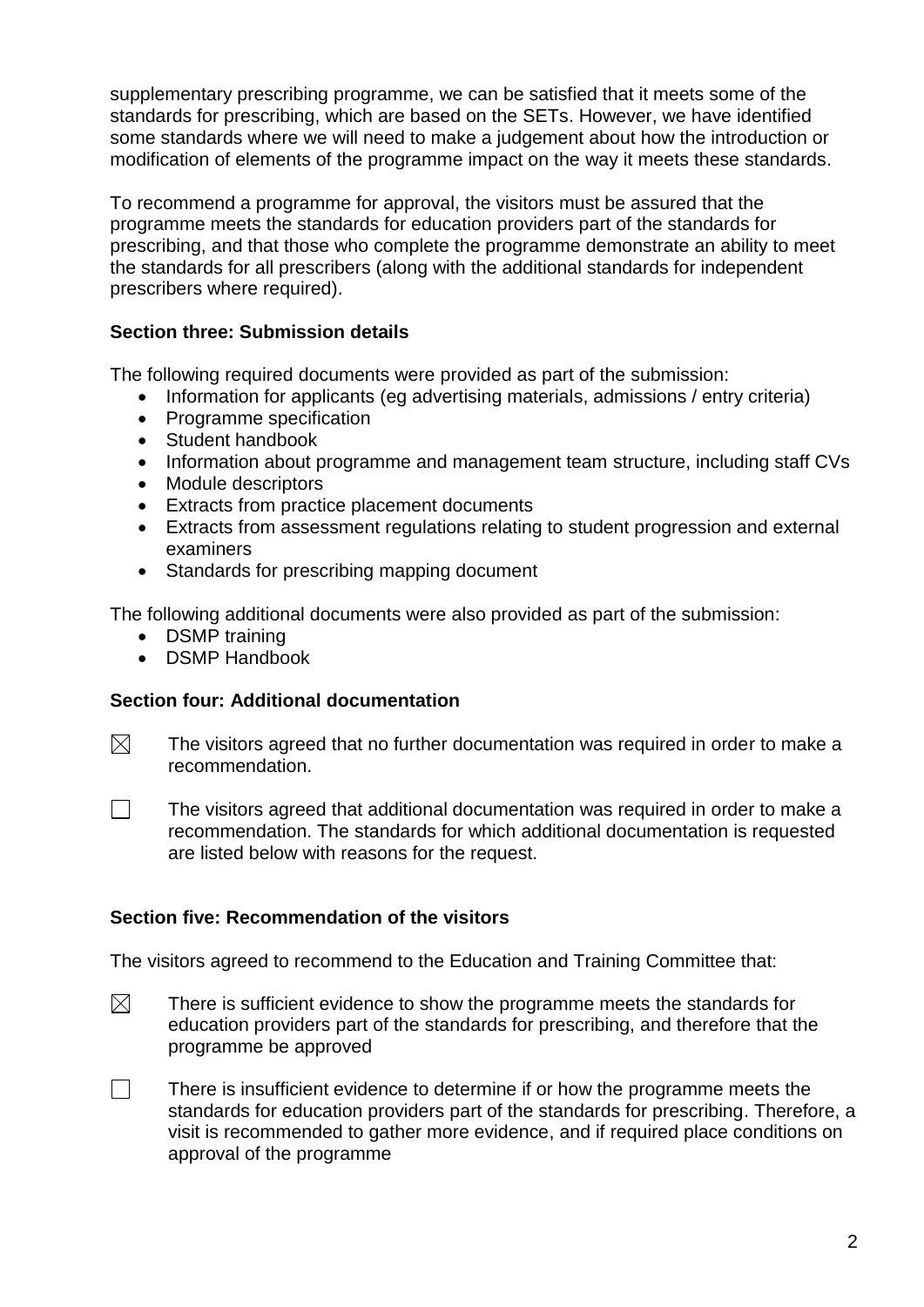supplementary prescribing programme, we can be satisfied that it meets some of the standards for prescribing, which are based on the SETs. However, we have identified some standards where we will need to make a judgement about how the introduction or modification of elements of the programme impact on the way it meets these standards.

To recommend a programme for approval, the visitors must be assured that the programme meets the standards for education providers part of the standards for prescribing, and that those who complete the programme demonstrate an ability to meet the standards for all prescribers (along with the additional standards for independent prescribers where required).

# **Section three: Submission details**

The following required documents were provided as part of the submission:

- Information for applicants (eg advertising materials, admissions / entry criteria)
- Programme specification
- Student handbook
- Information about programme and management team structure, including staff CVs
- Module descriptors
- Extracts from practice placement documents
- Extracts from assessment regulations relating to student progression and external examiners
- Standards for prescribing mapping document

The following additional documents were also provided as part of the submission:

- DSMP training
- DSMP Handbook

# **Section four: Additional documentation**

 $\boxtimes$ The visitors agreed that no further documentation was required in order to make a recommendation.

 $\Box$ 

The visitors agreed that additional documentation was required in order to make a recommendation. The standards for which additional documentation is requested are listed below with reasons for the request.

# **Section five: Recommendation of the visitors**

The visitors agreed to recommend to the Education and Training Committee that:

- $\boxtimes$ There is sufficient evidence to show the programme meets the standards for education providers part of the standards for prescribing, and therefore that the programme be approved
- $\Box$ There is insufficient evidence to determine if or how the programme meets the standards for education providers part of the standards for prescribing. Therefore, a visit is recommended to gather more evidence, and if required place conditions on approval of the programme